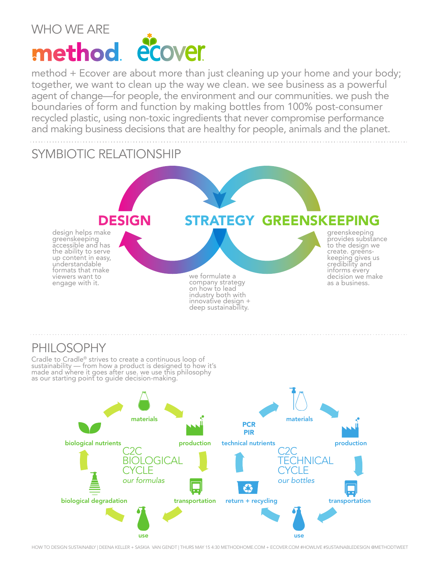#### WHO WE ARE method ecover

method + Ecover are about more than just cleaning up your home and your body; together, we want to clean up the way we clean. we see business as a powerful agent of change—for people, the environment and our communities. we push the boundaries of form and function by making bottles from 100% post-consumer recycled plastic, using non-toxic ingredients that never compromise performance and making business decisions that are healthy for people, animals and the planet.

#### SYMBIOTIC RELATIONSHIP



#### PHILOSOPHY

Cradle to Cradle® strives to create a continuous loop of<br>sustainability — from how a product is designed to how it's<br>made and where it goes after use. we use this philosophy as our starting point to guide decision-making.



HOW TO DESIGN SUSTAINABLY | DEENA KELLER + SASKIA VAN GENDT | THURS MAY 15 4:30 METHODHOME.COM + ECOVER.COM #HOWLIVE #SUSTAINABLEDESIGN @METHODTWEET